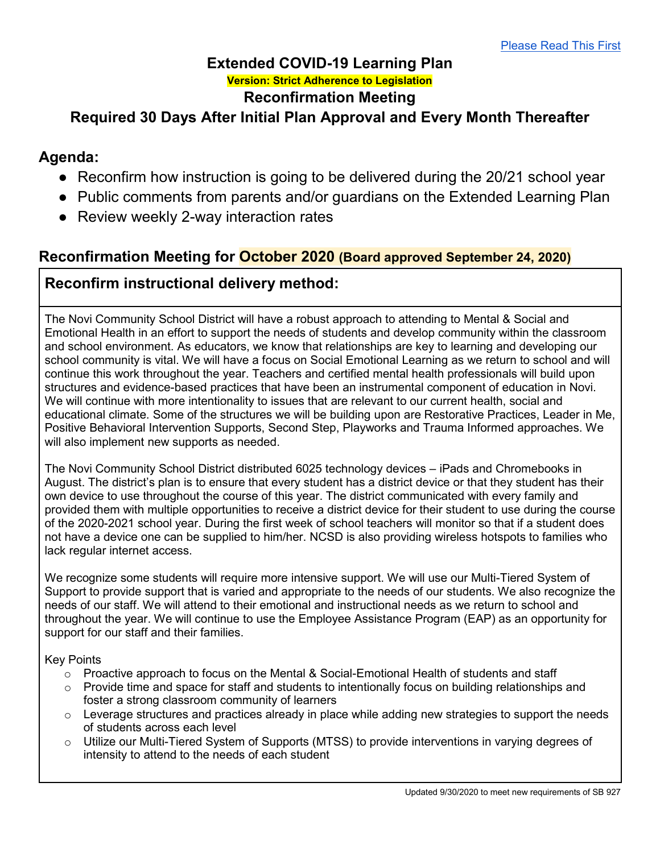#### **Extended COVID-19 Learning Plan Version: Strict Adherence to Legislation Reconfirmation Meeting**

# **Required 30 Days After Initial Plan Approval and Every Month Thereafter**

## **Agenda:**

- Reconfirm how instruction is going to be delivered during the 20/21 school year
- Public comments from parents and/or guardians on the Extended Learning Plan
- Review weekly 2-way interaction rates

## **Reconfirmation Meeting for October 2020 (Board approved September 24, 2020)**

## **Reconfirm instructional delivery method:**

The Novi Community School District will have a robust approach to attending to Mental & Social and Emotional Health in an effort to support the needs of students and develop community within the classroom and school environment. As educators, we know that relationships are key to learning and developing our school community is vital. We will have a focus on Social Emotional Learning as we return to school and will continue this work throughout the year. Teachers and certified mental health professionals will build upon structures and evidence-based practices that have been an instrumental component of education in Novi. We will continue with more intentionality to issues that are relevant to our current health, social and educational climate. Some of the structures we will be building upon are Restorative Practices, Leader in Me, Positive Behavioral Intervention Supports, Second Step, Playworks and Trauma Informed approaches. We will also implement new supports as needed.

The Novi Community School District distributed 6025 technology devices – iPads and Chromebooks in August. The district's plan is to ensure that every student has a district device or that they student has their own device to use throughout the course of this year. The district communicated with every family and provided them with multiple opportunities to receive a district device for their student to use during the course of the 2020-2021 school year. During the first week of school teachers will monitor so that if a student does not have a device one can be supplied to him/her. NCSD is also providing wireless hotspots to families who lack regular internet access.

We recognize some students will require more intensive support. We will use our Multi-Tiered System of Support to provide support that is varied and appropriate to the needs of our students. We also recognize the needs of our staff. We will attend to their emotional and instructional needs as we return to school and throughout the year. We will continue to use the Employee Assistance Program (EAP) as an opportunity for support for our staff and their families.

Key Points

- $\circ$  Proactive approach to focus on the Mental & Social-Emotional Health of students and staff
- $\circ$  Provide time and space for staff and students to intentionally focus on building relationships and foster a strong classroom community of learners
- $\circ$  Leverage structures and practices already in place while adding new strategies to support the needs of students across each level
- o Utilize our Multi-Tiered System of Supports (MTSS) to provide interventions in varying degrees of intensity to attend to the needs of each student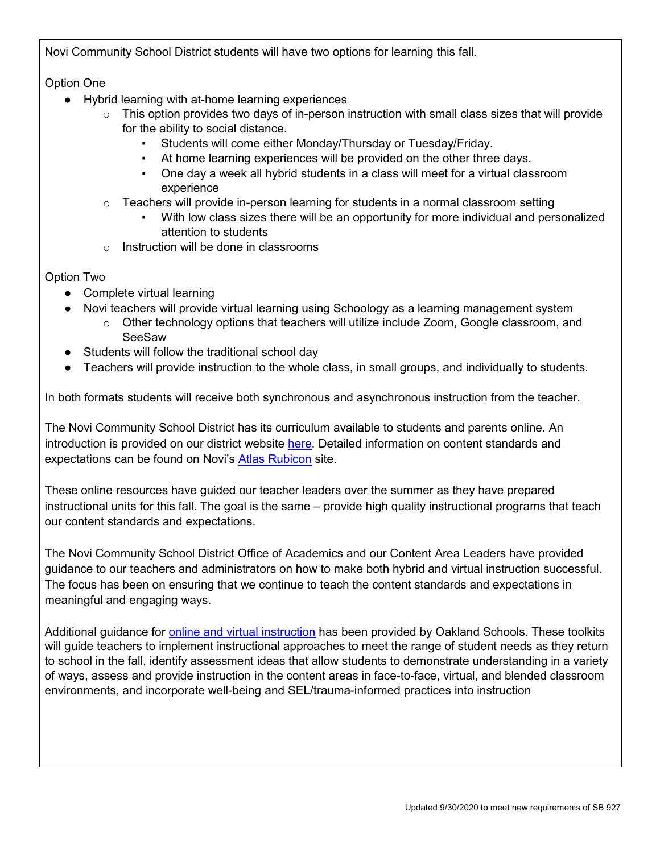Novi Community School District students will have two options for learning this fall.

Option One

- Hybrid learning with at-home learning experiences
	- $\circ$  This option provides two days of in-person instruction with small class sizes that will provide for the ability to social distance.
		- Students will come either Monday/Thursday or Tuesday/Friday.
		- At home learning experiences will be provided on the other three days.
		- One day a week all hybrid students in a class will meet for a virtual classroom experience
	- $\circ$  Teachers will provide in-person learning for students in a normal classroom setting
		- With low class sizes there will be an opportunity for more individual and personalized attention to students
	- $\circ$  Instruction will be done in classrooms

Option Two

- Complete virtual learning
- Novi teachers will provide virtual learning using Schoology as a learning management system
	- $\circ$  Other technology options that teachers will utilize include Zoom, Google classroom, and **SeeSaw**
- Students will follow the traditional school day
- Teachers will provide instruction to the whole class, in small groups, and individually to students.

In both formats students will receive both synchronous and asynchronous instruction from the teacher.

The Novi Community School District has its curriculum available to students and parents online. An introduction is provided on our district website [here.](https://www.novi.k12.mi.us/academics/atlascurriculum-information) Detailed information on content standards and expectations can be found on Novi's [Atlas Rubicon](https://novik12-oakland-public.rubiconatlas.org/Atlas/Public/View/Default) site.

These online resources have guided our teacher leaders over the summer as they have prepared instructional units for this fall. The goal is the same – provide high quality instructional programs that teach our content standards and expectations.

The Novi Community School District Office of Academics and our Content Area Leaders have provided guidance to our teachers and administrators on how to make both hybrid and virtual instruction successful. The focus has been on ensuring that we continue to teach the content standards and expectations in meaningful and engaging ways.

Additional guidance for [online and virtual instruction](https://docs.google.com/document/d/1CtCqzVV6DceKhac3iWpMnEvUI9J6c3qDE0v61uO59Dk/edit) has been provided by Oakland Schools. These toolkits will guide teachers to implement instructional approaches to meet the range of student needs as they return to school in the fall, identify assessment ideas that allow students to demonstrate understanding in a variety of ways, assess and provide instruction in the content areas in face-to-face, virtual, and blended classroom environments, and incorporate well-being and SEL/trauma-informed practices into instruction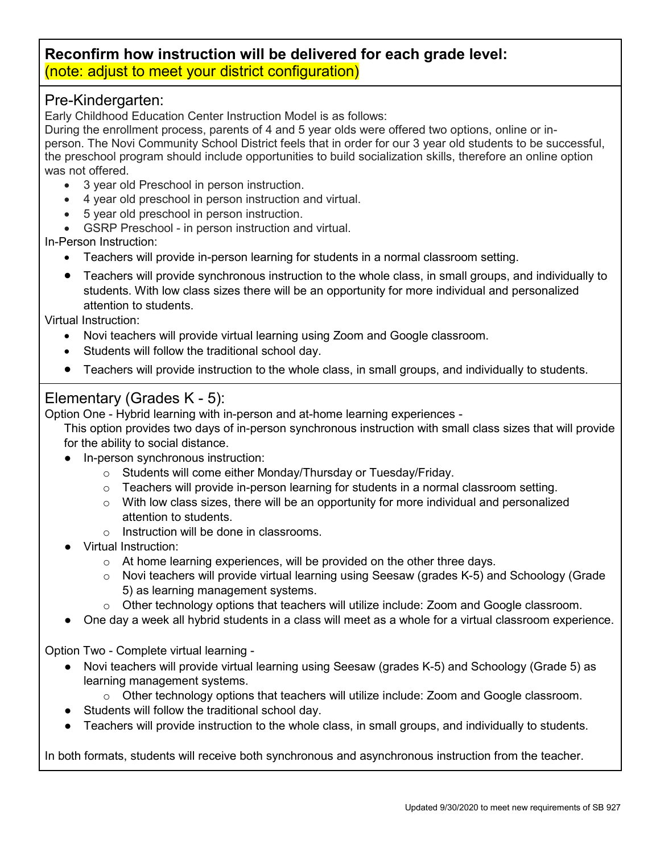#### **Reconfirm how instruction will be delivered for each grade level:** (note: adjust to meet your district configuration)

#### Pre-Kindergarten:

Early Childhood Education Center Instruction Model is as follows:

During the enrollment process, parents of 4 and 5 year olds were offered two options, online or inperson. The Novi Community School District feels that in order for our 3 year old students to be successful, the preschool program should include opportunities to build socialization skills, therefore an online option was not offered.

- 3 year old Preschool in person instruction.
- 4 year old preschool in person instruction and virtual.
- 5 year old preschool in person instruction.
- GSRP Preschool in person instruction and virtual.

In-Person Instruction:

- Teachers will provide in-person learning for students in a normal classroom setting.
- Teachers will provide synchronous instruction to the whole class, in small groups, and individually to students. With low class sizes there will be an opportunity for more individual and personalized attention to students.

Virtual Instruction:

- Novi teachers will provide virtual learning using Zoom and Google classroom.
- Students will follow the traditional school day.
- Teachers will provide instruction to the whole class, in small groups, and individually to students.

#### Elementary (Grades K - 5):

Option One - Hybrid learning with in-person and at-home learning experiences -

This option provides two days of in-person synchronous instruction with small class sizes that will provide for the ability to social distance.

- In-person synchronous instruction:
	- o Students will come either Monday/Thursday or Tuesday/Friday.
	- $\circ$  Teachers will provide in-person learning for students in a normal classroom setting.
	- $\circ$  With low class sizes, there will be an opportunity for more individual and personalized attention to students.
	- $\circ$  Instruction will be done in classrooms.
- Virtual Instruction:
	- $\circ$  At home learning experiences, will be provided on the other three days.
	- $\circ$  Novi teachers will provide virtual learning using Seesaw (grades K-5) and Schoology (Grade 5) as learning management systems.
	- $\circ$  Other technology options that teachers will utilize include: Zoom and Google classroom.
- One day a week all hybrid students in a class will meet as a whole for a virtual classroom experience.

Option Two - Complete virtual learning -

- Novi teachers will provide virtual learning using Seesaw (grades K-5) and Schoology (Grade 5) as learning management systems.
	- $\circ$  Other technology options that teachers will utilize include: Zoom and Google classroom.
- Students will follow the traditional school day.
- Teachers will provide instruction to the whole class, in small groups, and individually to students.

In both formats, students will receive both synchronous and asynchronous instruction from the teacher.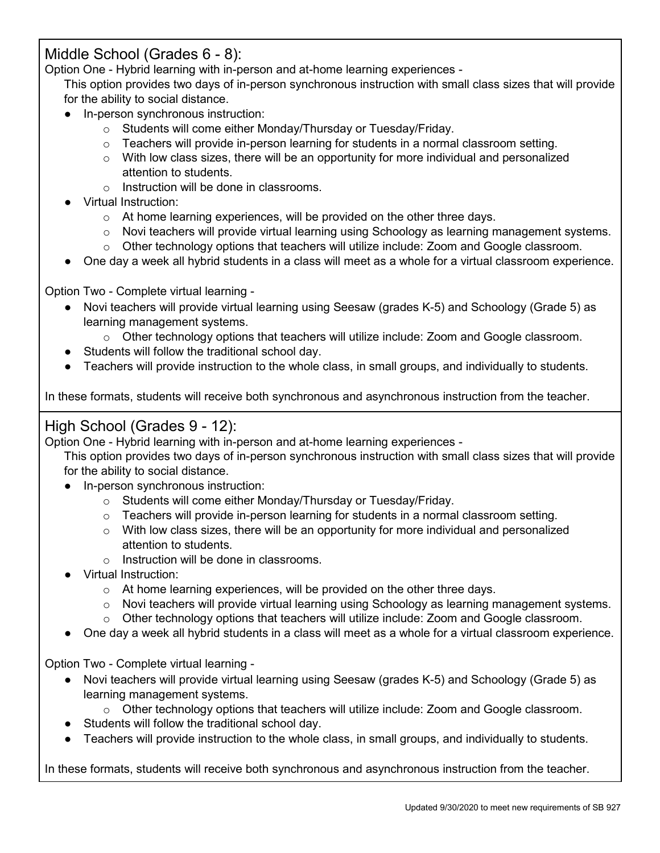## Middle School (Grades 6 - 8):

Option One - Hybrid learning with in-person and at-home learning experiences -

This option provides two days of in-person synchronous instruction with small class sizes that will provide for the ability to social distance.

- In-person synchronous instruction:
	- o Students will come either Monday/Thursday or Tuesday/Friday.
	- $\circ$  Teachers will provide in-person learning for students in a normal classroom setting.
	- $\circ$  With low class sizes, there will be an opportunity for more individual and personalized attention to students.
	- o Instruction will be done in classrooms.
- **Virtual Instruction:** 
	- $\circ$  At home learning experiences, will be provided on the other three days.
	- $\circ$  Novi teachers will provide virtual learning using Schoology as learning management systems.
	- $\circ$  Other technology options that teachers will utilize include: Zoom and Google classroom.
- One day a week all hybrid students in a class will meet as a whole for a virtual classroom experience.

Option Two - Complete virtual learning -

- Novi teachers will provide virtual learning using Seesaw (grades K-5) and Schoology (Grade 5) as learning management systems.
	- o Other technology options that teachers will utilize include: Zoom and Google classroom.
- Students will follow the traditional school day.
- Teachers will provide instruction to the whole class, in small groups, and individually to students.

In these formats, students will receive both synchronous and asynchronous instruction from the teacher.

## High School (Grades 9 - 12):

Option One - Hybrid learning with in-person and at-home learning experiences -

This option provides two days of in-person synchronous instruction with small class sizes that will provide for the ability to social distance.

- In-person synchronous instruction:
	- o Students will come either Monday/Thursday or Tuesday/Friday.
	- o Teachers will provide in-person learning for students in a normal classroom setting.
	- $\circ$  With low class sizes, there will be an opportunity for more individual and personalized attention to students.
	- o Instruction will be done in classrooms.
- Virtual Instruction:
	- $\circ$  At home learning experiences, will be provided on the other three days.
	- $\circ$  Novi teachers will provide virtual learning using Schoology as learning management systems.
	- $\circ$  Other technology options that teachers will utilize include: Zoom and Google classroom.
- One day a week all hybrid students in a class will meet as a whole for a virtual classroom experience.

Option Two - Complete virtual learning -

- Novi teachers will provide virtual learning using Seesaw (grades K-5) and Schoology (Grade 5) as learning management systems.
	- $\circ$  Other technology options that teachers will utilize include: Zoom and Google classroom.
- Students will follow the traditional school day.
- Teachers will provide instruction to the whole class, in small groups, and individually to students.

In these formats, students will receive both synchronous and asynchronous instruction from the teacher.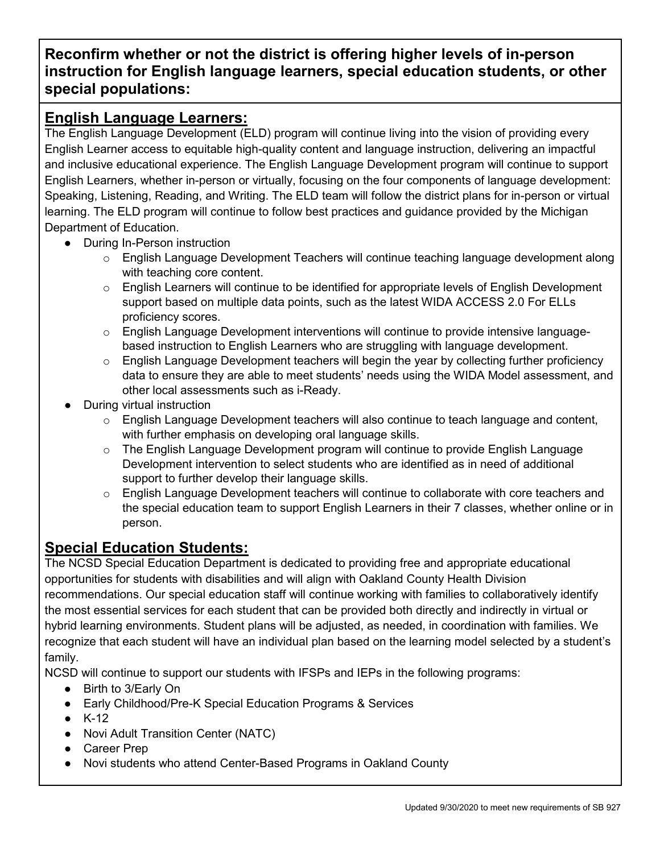# **Reconfirm whether or not the district is offering higher levels of in-person instruction for English language learners, special education students, or other special populations:**

## **English Language Learners:**

The English Language Development (ELD) program will continue living into the vision of providing every English Learner access to equitable high-quality content and language instruction, delivering an impactful and inclusive educational experience. The English Language Development program will continue to support English Learners, whether in-person or virtually, focusing on the four components of language development: Speaking, Listening, Reading, and Writing. The ELD team will follow the district plans for in-person or virtual learning. The ELD program will continue to follow best practices and guidance provided by the Michigan Department of Education.

- During In-Person instruction
	- o English Language Development Teachers will continue teaching language development along with teaching core content.
	- $\circ$  English Learners will continue to be identified for appropriate levels of English Development support based on multiple data points, such as the latest WIDA ACCESS 2.0 For ELLs proficiency scores.
	- o English Language Development interventions will continue to provide intensive languagebased instruction to English Learners who are struggling with language development.
	- $\circ$  English Language Development teachers will begin the year by collecting further proficiency data to ensure they are able to meet students' needs using the WIDA Model assessment, and other local assessments such as i-Ready.
- **During virtual instruction** 
	- $\circ$  English Language Development teachers will also continue to teach language and content, with further emphasis on developing oral language skills.
	- $\circ$  The English Language Development program will continue to provide English Language Development intervention to select students who are identified as in need of additional support to further develop their language skills.
	- $\circ$  English Language Development teachers will continue to collaborate with core teachers and the special education team to support English Learners in their 7 classes, whether online or in person.

## **Special Education Students:**

The NCSD Special Education Department is dedicated to providing free and appropriate educational opportunities for students with disabilities and will align with Oakland County Health Division recommendations. Our special education staff will continue working with families to collaboratively identify the most essential services for each student that can be provided both directly and indirectly in virtual or hybrid learning environments. Student plans will be adjusted, as needed, in coordination with families. We recognize that each student will have an individual plan based on the learning model selected by a student's family.

NCSD will continue to support our students with IFSPs and IEPs in the following programs:

- Birth to 3/Early On
- Early Childhood/Pre-K Special Education Programs & Services
- $\bullet$  K-12
- Novi Adult Transition Center (NATC)
- Career Prep
- Novi students who attend Center-Based Programs in Oakland County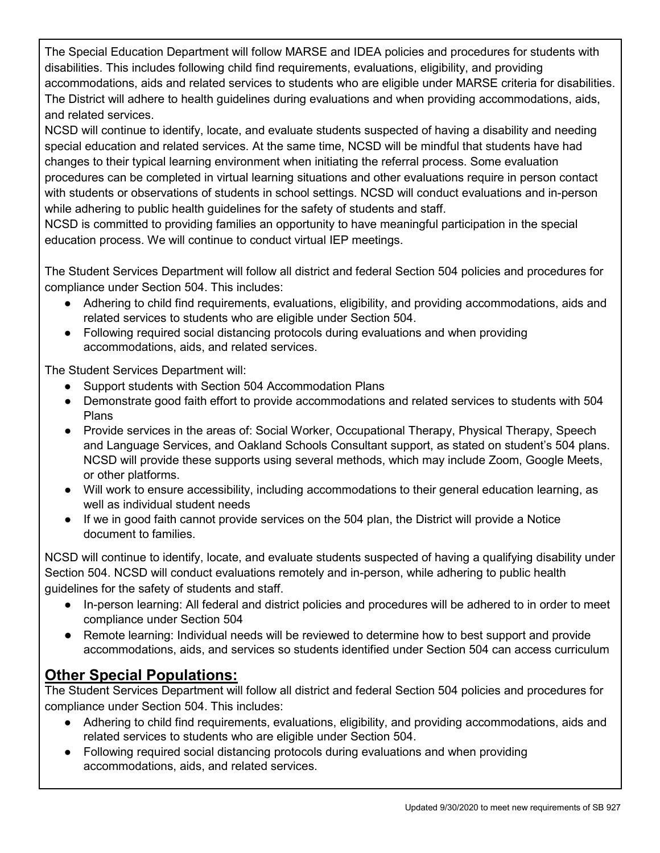The Special Education Department will follow MARSE and IDEA policies and procedures for students with disabilities. This includes following child find requirements, evaluations, eligibility, and providing accommodations, aids and related services to students who are eligible under MARSE criteria for disabilities. The District will adhere to health guidelines during evaluations and when providing accommodations, aids, and related services.

NCSD will continue to identify, locate, and evaluate students suspected of having a disability and needing special education and related services. At the same time, NCSD will be mindful that students have had changes to their typical learning environment when initiating the referral process. Some evaluation procedures can be completed in virtual learning situations and other evaluations require in person contact with students or observations of students in school settings. NCSD will conduct evaluations and in-person while adhering to public health guidelines for the safety of students and staff.

NCSD is committed to providing families an opportunity to have meaningful participation in the special education process. We will continue to conduct virtual IEP meetings.

The Student Services Department will follow all district and federal Section 504 policies and procedures for compliance under Section 504. This includes:

- Adhering to child find requirements, evaluations, eligibility, and providing accommodations, aids and related services to students who are eligible under Section 504.
- Following required social distancing protocols during evaluations and when providing accommodations, aids, and related services.

The Student Services Department will:

- Support students with Section 504 Accommodation Plans
- Demonstrate good faith effort to provide accommodations and related services to students with 504 Plans
- Provide services in the areas of: Social Worker, Occupational Therapy, Physical Therapy, Speech and Language Services, and Oakland Schools Consultant support, as stated on student's 504 plans. NCSD will provide these supports using several methods, which may include Zoom, Google Meets, or other platforms.
- Will work to ensure accessibility, including accommodations to their general education learning, as well as individual student needs
- If we in good faith cannot provide services on the 504 plan, the District will provide a Notice document to families.

NCSD will continue to identify, locate, and evaluate students suspected of having a qualifying disability under Section 504. NCSD will conduct evaluations remotely and in-person, while adhering to public health guidelines for the safety of students and staff.

- In-person learning: All federal and district policies and procedures will be adhered to in order to meet compliance under Section 504
- Remote learning: Individual needs will be reviewed to determine how to best support and provide accommodations, aids, and services so students identified under Section 504 can access curriculum

# **Other Special Populations:**

The Student Services Department will follow all district and federal Section 504 policies and procedures for compliance under Section 504. This includes:

- Adhering to child find requirements, evaluations, eligibility, and providing accommodations, aids and related services to students who are eligible under Section 504.
- Following required social distancing protocols during evaluations and when providing accommodations, aids, and related services.